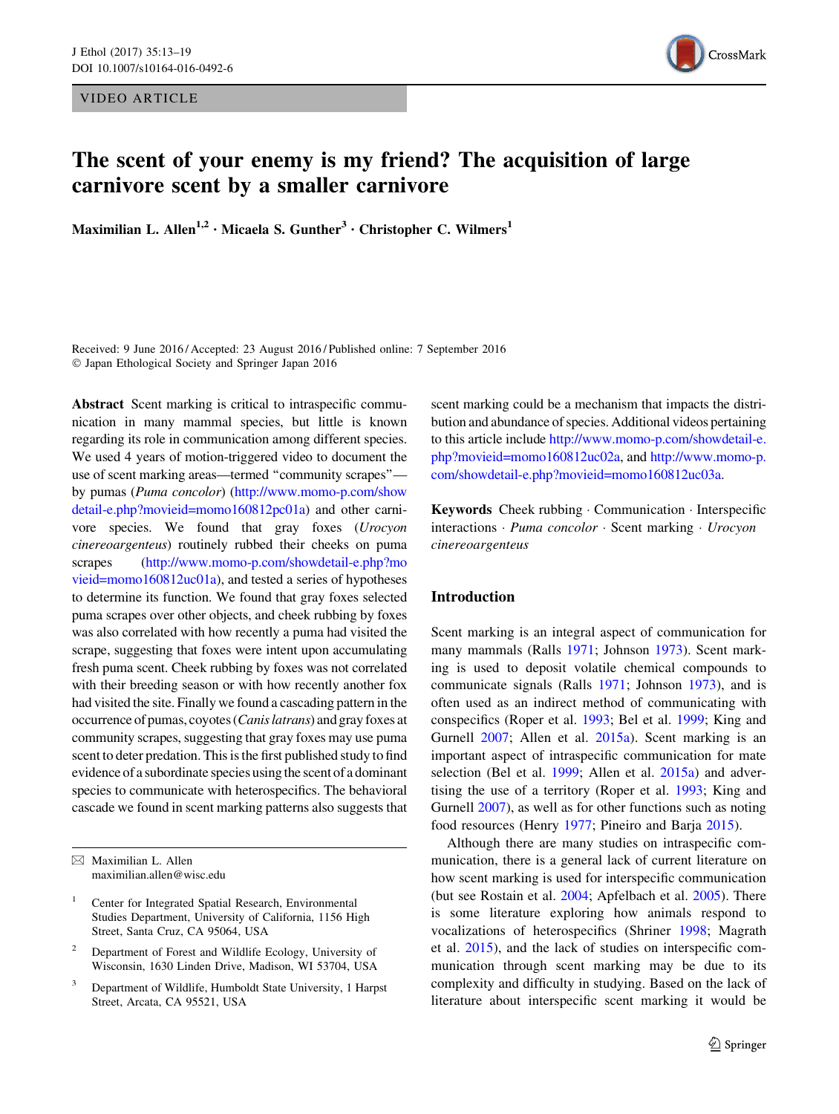VIDEO ARTICLE



# The scent of your enemy is my friend? The acquisition of large carnivore scent by a smaller carnivore

Maximilian L. Allen<sup>1,2</sup> · Micaela S. Gunther<sup>3</sup> · Christopher C. Wilmers<sup>1</sup>

Received: 9 June 2016 / Accepted: 23 August 2016 / Published online: 7 September 2016 - Japan Ethological Society and Springer Japan 2016

Abstract Scent marking is critical to intraspecific communication in many mammal species, but little is known regarding its role in communication among different species. We used 4 years of motion-triggered video to document the use of scent marking areas—termed ''community scrapes'' by pumas (Puma concolor) ([http://www.momo-p.com/show](http://www.momo-p.com/showdetail-e.php%3fmovieid%3dmomo160812pc01a) [detail-e.php?movieid=momo160812pc01a\)](http://www.momo-p.com/showdetail-e.php%3fmovieid%3dmomo160812pc01a) and other carnivore species. We found that gray foxes (Urocyon cinereoargenteus) routinely rubbed their cheeks on puma scrapes ([http://www.momo-p.com/showdetail-e.php?mo](http://www.momo-p.com/showdetail-e.php%3fmovieid%3dmomo160812uc01a) [vieid=momo160812uc01a\)](http://www.momo-p.com/showdetail-e.php%3fmovieid%3dmomo160812uc01a), and tested a series of hypotheses to determine its function. We found that gray foxes selected puma scrapes over other objects, and cheek rubbing by foxes was also correlated with how recently a puma had visited the scrape, suggesting that foxes were intent upon accumulating fresh puma scent. Cheek rubbing by foxes was not correlated with their breeding season or with how recently another fox had visited the site. Finally we found a cascading pattern in the occurrence of pumas, coyotes (Canis latrans) and gray foxes at community scrapes, suggesting that gray foxes may use puma scent to deter predation. This is the first published study to find evidence of a subordinate species using the scent of a dominant species to communicate with heterospecifics. The behavioral cascade we found in scent marking patterns also suggests that

- <sup>2</sup> Department of Forest and Wildlife Ecology, University of Wisconsin, 1630 Linden Drive, Madison, WI 53704, USA
- <sup>3</sup> Department of Wildlife, Humboldt State University, 1 Harpst Street, Arcata, CA 95521, USA

scent marking could be a mechanism that impacts the distribution and abundance of species. Additional videos pertaining to this article include [http://www.momo-p.com/showdetail-e.](http://www.momo-p.com/showdetail-e.php%3fmovieid%3dmomo160812uc02a) [php?movieid=momo160812uc02a](http://www.momo-p.com/showdetail-e.php%3fmovieid%3dmomo160812uc02a), and [http://www.momo-p.](http://www.momo-p.com/showdetail-e.php%3fmovieid%3dmomo160812uc03a) [com/showdetail-e.php?movieid=momo160812uc03a.](http://www.momo-p.com/showdetail-e.php%3fmovieid%3dmomo160812uc03a)

Keywords Cheek rubbing - Communication - Interspecific interactions · Puma concolor · Scent marking · Urocyon cinereoargenteus

#### Introduction

Scent marking is an integral aspect of communication for many mammals (Ralls [1971](#page-6-0); Johnson [1973\)](#page-6-0). Scent marking is used to deposit volatile chemical compounds to communicate signals (Ralls [1971;](#page-6-0) Johnson [1973\)](#page-6-0), and is often used as an indirect method of communicating with conspecifics (Roper et al. [1993](#page-6-0); Bel et al. [1999](#page-6-0); King and Gurnell [2007;](#page-6-0) Allen et al. [2015a](#page-6-0)). Scent marking is an important aspect of intraspecific communication for mate selection (Bel et al. [1999](#page-6-0); Allen et al. [2015a](#page-6-0)) and advertising the use of a territory (Roper et al. [1993](#page-6-0); King and Gurnell [2007](#page-6-0)), as well as for other functions such as noting food resources (Henry [1977](#page-6-0); Pineiro and Barja [2015\)](#page-6-0).

Although there are many studies on intraspecific communication, there is a general lack of current literature on how scent marking is used for interspecific communication (but see Rostain et al. [2004](#page-6-0); Apfelbach et al. [2005\)](#page-6-0). There is some literature exploring how animals respond to vocalizations of heterospecifics (Shriner [1998;](#page-6-0) Magrath et al. [2015](#page-6-0)), and the lack of studies on interspecific communication through scent marking may be due to its complexity and difficulty in studying. Based on the lack of literature about interspecific scent marking it would be

 $\boxtimes$  Maximilian L. Allen maximilian.allen@wisc.edu

<sup>&</sup>lt;sup>1</sup> Center for Integrated Spatial Research, Environmental Studies Department, University of California, 1156 High Street, Santa Cruz, CA 95064, USA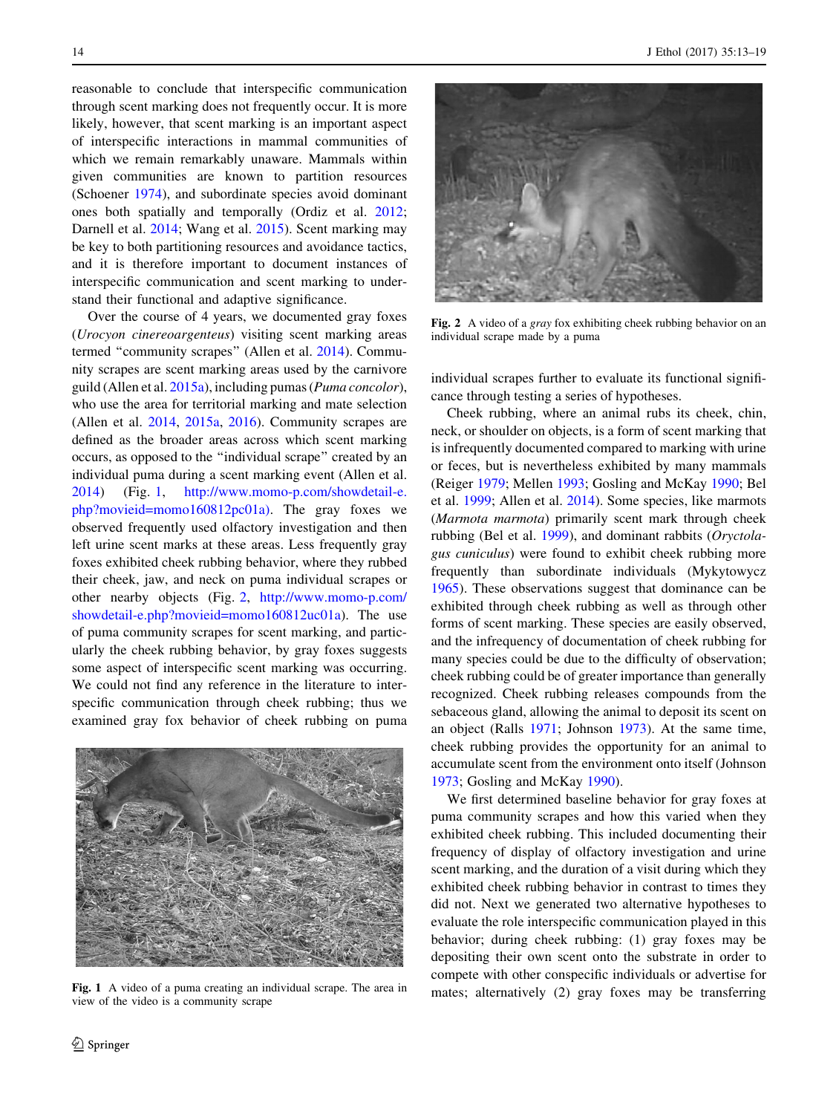reasonable to conclude that interspecific communication through scent marking does not frequently occur. It is more likely, however, that scent marking is an important aspect of interspecific interactions in mammal communities of which we remain remarkably unaware. Mammals within given communities are known to partition resources (Schoener [1974](#page-6-0)), and subordinate species avoid dominant ones both spatially and temporally (Ordiz et al. [2012](#page-6-0); Darnell et al. [2014;](#page-6-0) Wang et al. [2015\)](#page-6-0). Scent marking may be key to both partitioning resources and avoidance tactics, and it is therefore important to document instances of interspecific communication and scent marking to understand their functional and adaptive significance.

Over the course of 4 years, we documented gray foxes (Urocyon cinereoargenteus) visiting scent marking areas termed "community scrapes" (Allen et al. [2014\)](#page-6-0). Community scrapes are scent marking areas used by the carnivore guild (Allen et al. [2015a](#page-6-0)), including pumas (Puma concolor), who use the area for territorial marking and mate selection (Allen et al. [2014](#page-6-0), [2015a,](#page-6-0) [2016](#page-6-0)). Community scrapes are defined as the broader areas across which scent marking occurs, as opposed to the ''individual scrape'' created by an individual puma during a scent marking event (Allen et al. [2014\)](#page-6-0) (Fig. 1, [http://www.momo-p.com/showdetail-e.](http://www.momo-p.com/showdetail-e.php%3fmovieid%3dmomo160812pc01a)) [php?movieid=momo160812pc01a\).](http://www.momo-p.com/showdetail-e.php%3fmovieid%3dmomo160812pc01a)) The gray foxes we observed frequently used olfactory investigation and then left urine scent marks at these areas. Less frequently gray foxes exhibited cheek rubbing behavior, where they rubbed their cheek, jaw, and neck on puma individual scrapes or other nearby objects (Fig. 2, [http://www.momo-p.com/](http://www.momo-p.com/showdetail-e.php%3fmovieid%3dmomo160812uc01a) [showdetail-e.php?movieid=momo160812uc01a](http://www.momo-p.com/showdetail-e.php%3fmovieid%3dmomo160812uc01a)). The use of puma community scrapes for scent marking, and particularly the cheek rubbing behavior, by gray foxes suggests some aspect of interspecific scent marking was occurring. We could not find any reference in the literature to interspecific communication through cheek rubbing; thus we examined gray fox behavior of cheek rubbing on puma



view of the video is a community scrape



Fig. 2 A video of a *gray* fox exhibiting cheek rubbing behavior on an individual scrape made by a puma

individual scrapes further to evaluate its functional significance through testing a series of hypotheses.

Cheek rubbing, where an animal rubs its cheek, chin, neck, or shoulder on objects, is a form of scent marking that is infrequently documented compared to marking with urine or feces, but is nevertheless exhibited by many mammals (Reiger [1979;](#page-6-0) Mellen [1993](#page-6-0); Gosling and McKay [1990;](#page-6-0) Bel et al. [1999;](#page-6-0) Allen et al. [2014\)](#page-6-0). Some species, like marmots (Marmota marmota) primarily scent mark through cheek rubbing (Bel et al. [1999](#page-6-0)), and dominant rabbits (Oryctolagus cuniculus) were found to exhibit cheek rubbing more frequently than subordinate individuals (Mykytowycz [1965](#page-6-0)). These observations suggest that dominance can be exhibited through cheek rubbing as well as through other forms of scent marking. These species are easily observed, and the infrequency of documentation of cheek rubbing for many species could be due to the difficulty of observation; cheek rubbing could be of greater importance than generally recognized. Cheek rubbing releases compounds from the sebaceous gland, allowing the animal to deposit its scent on an object (Ralls [1971;](#page-6-0) Johnson [1973](#page-6-0)). At the same time, cheek rubbing provides the opportunity for an animal to accumulate scent from the environment onto itself (Johnson [1973](#page-6-0); Gosling and McKay [1990\)](#page-6-0).

We first determined baseline behavior for gray foxes at puma community scrapes and how this varied when they exhibited cheek rubbing. This included documenting their frequency of display of olfactory investigation and urine scent marking, and the duration of a visit during which they exhibited cheek rubbing behavior in contrast to times they did not. Next we generated two alternative hypotheses to evaluate the role interspecific communication played in this behavior; during cheek rubbing: (1) gray foxes may be depositing their own scent onto the substrate in order to compete with other conspecific individuals or advertise for Fig. 1 A video of a puma creating an individual scrape. The area in mates; alternatively  $(2)$  gray foxes may be transferring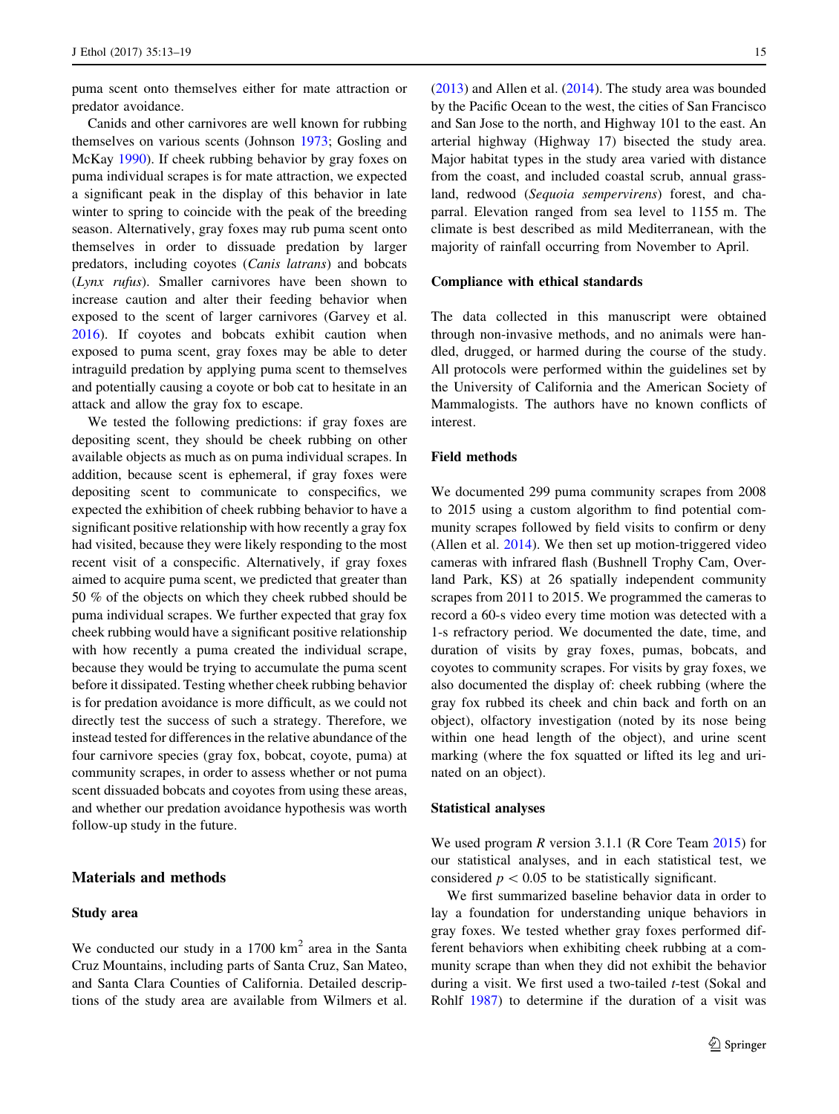puma scent onto themselves either for mate attraction or predator avoidance.

Canids and other carnivores are well known for rubbing themselves on various scents (Johnson [1973](#page-6-0); Gosling and McKay [1990\)](#page-6-0). If cheek rubbing behavior by gray foxes on puma individual scrapes is for mate attraction, we expected a significant peak in the display of this behavior in late winter to spring to coincide with the peak of the breeding season. Alternatively, gray foxes may rub puma scent onto themselves in order to dissuade predation by larger predators, including coyotes (Canis latrans) and bobcats (Lynx rufus). Smaller carnivores have been shown to increase caution and alter their feeding behavior when exposed to the scent of larger carnivores (Garvey et al. [2016\)](#page-6-0). If coyotes and bobcats exhibit caution when exposed to puma scent, gray foxes may be able to deter intraguild predation by applying puma scent to themselves and potentially causing a coyote or bob cat to hesitate in an attack and allow the gray fox to escape.

We tested the following predictions: if gray foxes are depositing scent, they should be cheek rubbing on other available objects as much as on puma individual scrapes. In addition, because scent is ephemeral, if gray foxes were depositing scent to communicate to conspecifics, we expected the exhibition of cheek rubbing behavior to have a significant positive relationship with how recently a gray fox had visited, because they were likely responding to the most recent visit of a conspecific. Alternatively, if gray foxes aimed to acquire puma scent, we predicted that greater than 50 % of the objects on which they cheek rubbed should be puma individual scrapes. We further expected that gray fox cheek rubbing would have a significant positive relationship with how recently a puma created the individual scrape, because they would be trying to accumulate the puma scent before it dissipated. Testing whether cheek rubbing behavior is for predation avoidance is more difficult, as we could not directly test the success of such a strategy. Therefore, we instead tested for differences in the relative abundance of the four carnivore species (gray fox, bobcat, coyote, puma) at community scrapes, in order to assess whether or not puma scent dissuaded bobcats and coyotes from using these areas, and whether our predation avoidance hypothesis was worth follow-up study in the future.

# Materials and methods

### Study area

We conducted our study in a  $1700 \text{ km}^2$  area in the Santa Cruz Mountains, including parts of Santa Cruz, San Mateo, and Santa Clara Counties of California. Detailed descriptions of the study area are available from Wilmers et al. [\(2013](#page-6-0)) and Allen et al. [\(2014](#page-6-0)). The study area was bounded by the Pacific Ocean to the west, the cities of San Francisco and San Jose to the north, and Highway 101 to the east. An arterial highway (Highway 17) bisected the study area. Major habitat types in the study area varied with distance from the coast, and included coastal scrub, annual grassland, redwood (Sequoia sempervirens) forest, and chaparral. Elevation ranged from sea level to 1155 m. The climate is best described as mild Mediterranean, with the majority of rainfall occurring from November to April.

#### Compliance with ethical standards

The data collected in this manuscript were obtained through non-invasive methods, and no animals were handled, drugged, or harmed during the course of the study. All protocols were performed within the guidelines set by the University of California and the American Society of Mammalogists. The authors have no known conflicts of interest.

#### Field methods

We documented 299 puma community scrapes from 2008 to 2015 using a custom algorithm to find potential community scrapes followed by field visits to confirm or deny (Allen et al. [2014\)](#page-6-0). We then set up motion-triggered video cameras with infrared flash (Bushnell Trophy Cam, Overland Park, KS) at 26 spatially independent community scrapes from 2011 to 2015. We programmed the cameras to record a 60-s video every time motion was detected with a 1-s refractory period. We documented the date, time, and duration of visits by gray foxes, pumas, bobcats, and coyotes to community scrapes. For visits by gray foxes, we also documented the display of: cheek rubbing (where the gray fox rubbed its cheek and chin back and forth on an object), olfactory investigation (noted by its nose being within one head length of the object), and urine scent marking (where the fox squatted or lifted its leg and urinated on an object).

#### Statistical analyses

We used program R version 3.1.1 (R Core Team [2015](#page-6-0)) for our statistical analyses, and in each statistical test, we considered  $p < 0.05$  to be statistically significant.

We first summarized baseline behavior data in order to lay a foundation for understanding unique behaviors in gray foxes. We tested whether gray foxes performed different behaviors when exhibiting cheek rubbing at a community scrape than when they did not exhibit the behavior during a visit. We first used a two-tailed *t*-test (Sokal and Rohlf [1987\)](#page-6-0) to determine if the duration of a visit was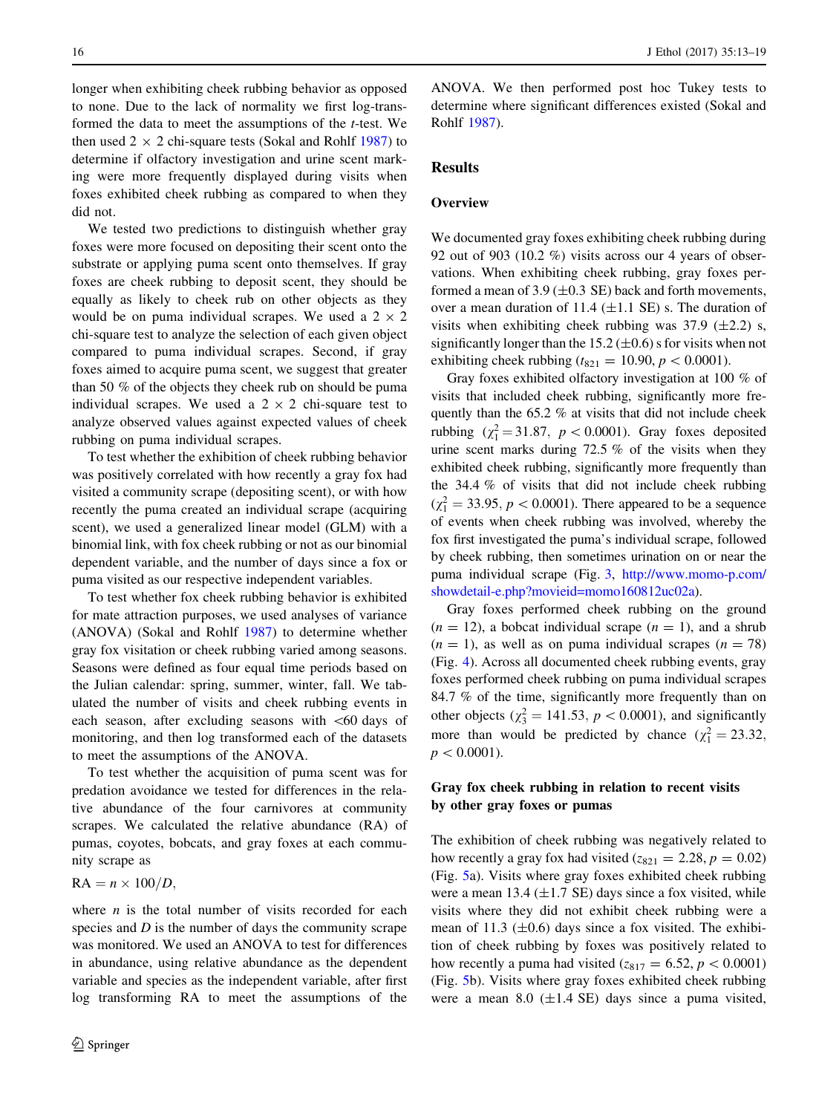longer when exhibiting cheek rubbing behavior as opposed to none. Due to the lack of normality we first log-transformed the data to meet the assumptions of the t-test. We then used  $2 \times 2$  chi-square tests (Sokal and Rohlf [1987](#page-6-0)) to determine if olfactory investigation and urine scent marking were more frequently displayed during visits when foxes exhibited cheek rubbing as compared to when they did not.

We tested two predictions to distinguish whether gray foxes were more focused on depositing their scent onto the substrate or applying puma scent onto themselves. If gray foxes are cheek rubbing to deposit scent, they should be equally as likely to cheek rub on other objects as they would be on puma individual scrapes. We used a  $2 \times 2$ chi-square test to analyze the selection of each given object compared to puma individual scrapes. Second, if gray foxes aimed to acquire puma scent, we suggest that greater than 50 % of the objects they cheek rub on should be puma individual scrapes. We used a  $2 \times 2$  chi-square test to analyze observed values against expected values of cheek rubbing on puma individual scrapes.

To test whether the exhibition of cheek rubbing behavior was positively correlated with how recently a gray fox had visited a community scrape (depositing scent), or with how recently the puma created an individual scrape (acquiring scent), we used a generalized linear model (GLM) with a binomial link, with fox cheek rubbing or not as our binomial dependent variable, and the number of days since a fox or puma visited as our respective independent variables.

To test whether fox cheek rubbing behavior is exhibited for mate attraction purposes, we used analyses of variance (ANOVA) (Sokal and Rohlf [1987](#page-6-0)) to determine whether gray fox visitation or cheek rubbing varied among seasons. Seasons were defined as four equal time periods based on the Julian calendar: spring, summer, winter, fall. We tabulated the number of visits and cheek rubbing events in each season, after excluding seasons with  $\leq 60$  days of monitoring, and then log transformed each of the datasets to meet the assumptions of the ANOVA.

To test whether the acquisition of puma scent was for predation avoidance we tested for differences in the relative abundance of the four carnivores at community scrapes. We calculated the relative abundance (RA) of pumas, coyotes, bobcats, and gray foxes at each community scrape as

 $RA = n \times 100/D$ ,

where  $n$  is the total number of visits recorded for each species and  $D$  is the number of days the community scrape was monitored. We used an ANOVA to test for differences in abundance, using relative abundance as the dependent variable and species as the independent variable, after first log transforming RA to meet the assumptions of the

ANOVA. We then performed post hoc Tukey tests to determine where significant differences existed (Sokal and Rohlf [1987](#page-6-0)).

## **Results**

#### **Overview**

We documented gray foxes exhibiting cheek rubbing during 92 out of 903 (10.2 %) visits across our 4 years of observations. When exhibiting cheek rubbing, gray foxes performed a mean of 3.9 ( $\pm$ 0.3 SE) back and forth movements, over a mean duration of 11.4  $(\pm 1.1 \text{ SE})$  s. The duration of visits when exhibiting cheek rubbing was  $37.9$  ( $\pm$ 2.2) s, significantly longer than the 15.2 ( $\pm$ 0.6) s for visits when not exhibiting cheek rubbing ( $t_{821} = 10.90, p \lt 0.0001$ ).

Gray foxes exhibited olfactory investigation at 100 % of visits that included cheek rubbing, significantly more frequently than the 65.2 % at visits that did not include cheek rubbing  $(\chi_1^2 = 31.87, p < 0.0001)$ . Gray foxes deposited urine scent marks during 72.5 % of the visits when they exhibited cheek rubbing, significantly more frequently than the 34.4 % of visits that did not include cheek rubbing  $(\chi_1^2 = 33.95, p < 0.0001)$ . There appeared to be a sequence of events when cheek rubbing was involved, whereby the fox first investigated the puma's individual scrape, followed by cheek rubbing, then sometimes urination on or near the puma individual scrape (Fig. [3](#page-4-0), [http://www.momo-p.com/](http://www.momo-p.com/showdetail-e.php%3fmovieid%3dmomo160812uc02a) [showdetail-e.php?movieid=momo160812uc02a](http://www.momo-p.com/showdetail-e.php%3fmovieid%3dmomo160812uc02a)).

Gray foxes performed cheek rubbing on the ground  $(n = 12)$ , a bobcat individual scrape  $(n = 1)$ , and a shrub  $(n = 1)$ , as well as on puma individual scrapes  $(n = 78)$ (Fig. [4\)](#page-4-0). Across all documented cheek rubbing events, gray foxes performed cheek rubbing on puma individual scrapes 84.7 % of the time, significantly more frequently than on other objects ( $\chi_3^2 = 141.53$ ,  $p < 0.0001$ ), and significantly more than would be predicted by chance  $(\chi_1^2 = 23.32,$  $p<0.0001$ ).

## Gray fox cheek rubbing in relation to recent visits by other gray foxes or pumas

The exhibition of cheek rubbing was negatively related to how recently a gray fox had visited ( $z_{821} = 2.28$ ,  $p = 0.02$ ) (Fig. [5a](#page-4-0)). Visits where gray foxes exhibited cheek rubbing were a mean 13.4  $(\pm 1.7 \text{ SE})$  days since a fox visited, while visits where they did not exhibit cheek rubbing were a mean of 11.3 ( $\pm$ 0.6) days since a fox visited. The exhibition of cheek rubbing by foxes was positively related to how recently a puma had visited ( $z_{817} = 6.52$ ,  $p < 0.0001$ ) (Fig. [5b](#page-4-0)). Visits where gray foxes exhibited cheek rubbing were a mean 8.0  $(\pm 1.4$  SE) days since a puma visited,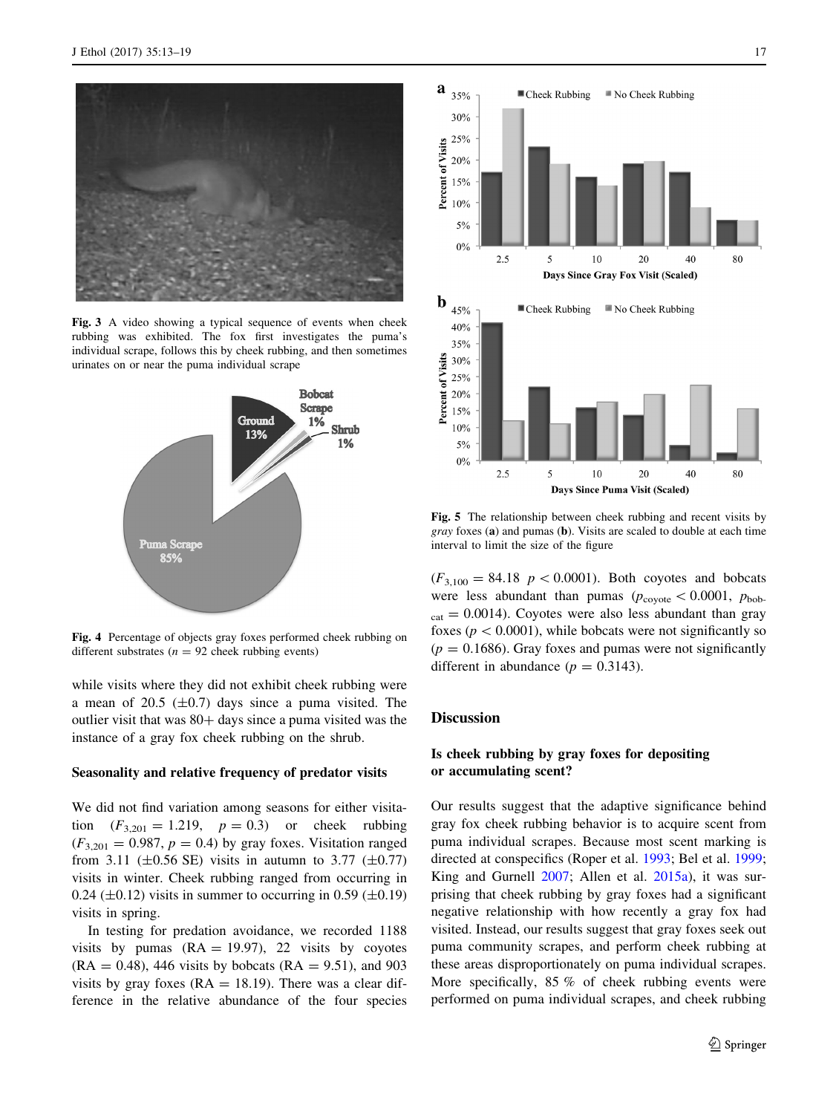<span id="page-4-0"></span>

Fig. 3 A video showing a typical sequence of events when cheek rubbing was exhibited. The fox first investigates the puma's individual scrape, follows this by cheek rubbing, and then sometimes urinates on or near the puma individual scrape



Fig. 4 Percentage of objects gray foxes performed cheek rubbing on different substrates ( $n = 92$  cheek rubbing events)

while visits where they did not exhibit cheek rubbing were a mean of 20.5 ( $\pm$ 0.7) days since a puma visited. The outlier visit that was  $80+$  days since a puma visited was the instance of a gray fox cheek rubbing on the shrub.

#### Seasonality and relative frequency of predator visits

We did not find variation among seasons for either visitation  $(F_{3,201} = 1.219, p = 0.3)$  or cheek rubbing  $(F_{3,201} = 0.987, p = 0.4)$  by gray foxes. Visitation ranged from 3.11 ( $\pm 0.56$  SE) visits in autumn to 3.77 ( $\pm 0.77$ ) visits in winter. Cheek rubbing ranged from occurring in 0.24 ( $\pm$ 0.12) visits in summer to occurring in 0.59 ( $\pm$ 0.19) visits in spring.

In testing for predation avoidance, we recorded 1188 visits by pumas  $(RA = 19.97)$ , 22 visits by coyotes  $(RA = 0.48)$ , 446 visits by bobcats  $(RA = 9.51)$ , and 903 visits by gray foxes  $(RA = 18.19)$ . There was a clear difference in the relative abundance of the four species



Fig. 5 The relationship between cheek rubbing and recent visits by gray foxes (a) and pumas (b). Visits are scaled to double at each time interval to limit the size of the figure

 $(F_{3,100} = 84.18 \, p < 0.0001)$ . Both coyotes and bobcats were less abundant than pumas ( $p_{\text{covote}} < 0.0001$ ,  $p_{\text{bob}}$ - $_{\text{cat}} = 0.0014$ ). Coyotes were also less abundant than gray foxes ( $p < 0.0001$ ), while bobcats were not significantly so  $(p = 0.1686)$ . Gray foxes and pumas were not significantly different in abundance ( $p = 0.3143$ ).

#### **Discussion**

## Is cheek rubbing by gray foxes for depositing or accumulating scent?

Our results suggest that the adaptive significance behind gray fox cheek rubbing behavior is to acquire scent from puma individual scrapes. Because most scent marking is directed at conspecifics (Roper et al. [1993](#page-6-0); Bel et al. [1999](#page-6-0); King and Gurnell [2007](#page-6-0); Allen et al. [2015a\)](#page-6-0), it was surprising that cheek rubbing by gray foxes had a significant negative relationship with how recently a gray fox had visited. Instead, our results suggest that gray foxes seek out puma community scrapes, and perform cheek rubbing at these areas disproportionately on puma individual scrapes. More specifically, 85 % of cheek rubbing events were performed on puma individual scrapes, and cheek rubbing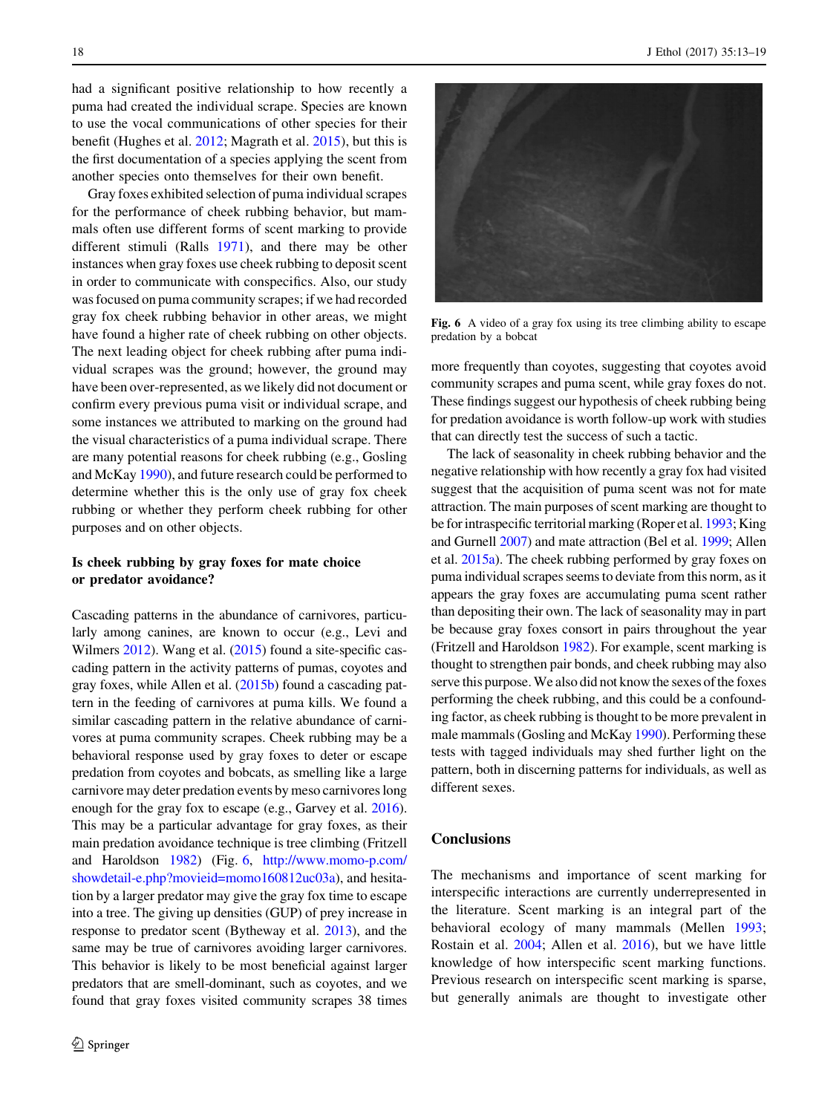had a significant positive relationship to how recently a puma had created the individual scrape. Species are known to use the vocal communications of other species for their benefit (Hughes et al. [2012;](#page-6-0) Magrath et al. [2015](#page-6-0)), but this is the first documentation of a species applying the scent from another species onto themselves for their own benefit.

Gray foxes exhibited selection of puma individual scrapes for the performance of cheek rubbing behavior, but mammals often use different forms of scent marking to provide different stimuli (Ralls [1971\)](#page-6-0), and there may be other instances when gray foxes use cheek rubbing to deposit scent in order to communicate with conspecifics. Also, our study was focused on puma community scrapes; if we had recorded gray fox cheek rubbing behavior in other areas, we might have found a higher rate of cheek rubbing on other objects. The next leading object for cheek rubbing after puma individual scrapes was the ground; however, the ground may have been over-represented, as we likely did not document or confirm every previous puma visit or individual scrape, and some instances we attributed to marking on the ground had the visual characteristics of a puma individual scrape. There are many potential reasons for cheek rubbing (e.g., Gosling and McKay [1990\)](#page-6-0), and future research could be performed to determine whether this is the only use of gray fox cheek rubbing or whether they perform cheek rubbing for other purposes and on other objects.

## Is cheek rubbing by gray foxes for mate choice or predator avoidance?

Cascading patterns in the abundance of carnivores, particularly among canines, are known to occur (e.g., Levi and Wilmers [2012](#page-6-0)). Wang et al. [\(2015\)](#page-6-0) found a site-specific cascading pattern in the activity patterns of pumas, coyotes and gray foxes, while Allen et al. [\(2015b\)](#page-6-0) found a cascading pattern in the feeding of carnivores at puma kills. We found a similar cascading pattern in the relative abundance of carnivores at puma community scrapes. Cheek rubbing may be a behavioral response used by gray foxes to deter or escape predation from coyotes and bobcats, as smelling like a large carnivore may deter predation events by meso carnivores long enough for the gray fox to escape (e.g., Garvey et al. [2016](#page-6-0)). This may be a particular advantage for gray foxes, as their main predation avoidance technique is tree climbing (Fritzell and Haroldson [1982\)](#page-6-0) (Fig. 6, [http://www.momo-p.com/](http://www.momo-p.com/showdetail-e.php%3fmovieid%3dmomo160812uc03a) [showdetail-e.php?movieid=momo160812uc03a](http://www.momo-p.com/showdetail-e.php%3fmovieid%3dmomo160812uc03a)), and hesitation by a larger predator may give the gray fox time to escape into a tree. The giving up densities (GUP) of prey increase in response to predator scent (Bytheway et al. [2013](#page-6-0)), and the same may be true of carnivores avoiding larger carnivores. This behavior is likely to be most beneficial against larger predators that are smell-dominant, such as coyotes, and we found that gray foxes visited community scrapes 38 times



Fig. 6 A video of a gray fox using its tree climbing ability to escape predation by a bobcat

more frequently than coyotes, suggesting that coyotes avoid community scrapes and puma scent, while gray foxes do not. These findings suggest our hypothesis of cheek rubbing being for predation avoidance is worth follow-up work with studies that can directly test the success of such a tactic.

The lack of seasonality in cheek rubbing behavior and the negative relationship with how recently a gray fox had visited suggest that the acquisition of puma scent was not for mate attraction. The main purposes of scent marking are thought to be for intraspecific territorial marking (Roper et al. [1993](#page-6-0); King and Gurnell [2007](#page-6-0)) and mate attraction (Bel et al. [1999](#page-6-0); Allen et al. [2015a](#page-6-0)). The cheek rubbing performed by gray foxes on puma individual scrapes seems to deviate from this norm, as it appears the gray foxes are accumulating puma scent rather than depositing their own. The lack of seasonality may in part be because gray foxes consort in pairs throughout the year (Fritzell and Haroldson [1982\)](#page-6-0). For example, scent marking is thought to strengthen pair bonds, and cheek rubbing may also serve this purpose.We also did not know the sexes of the foxes performing the cheek rubbing, and this could be a confounding factor, as cheek rubbing is thought to be more prevalent in male mammals (Gosling and McKay [1990](#page-6-0)). Performing these tests with tagged individuals may shed further light on the pattern, both in discerning patterns for individuals, as well as different sexes.

## **Conclusions**

The mechanisms and importance of scent marking for interspecific interactions are currently underrepresented in the literature. Scent marking is an integral part of the behavioral ecology of many mammals (Mellen [1993](#page-6-0); Rostain et al. [2004;](#page-6-0) Allen et al. [2016\)](#page-6-0), but we have little knowledge of how interspecific scent marking functions. Previous research on interspecific scent marking is sparse, but generally animals are thought to investigate other